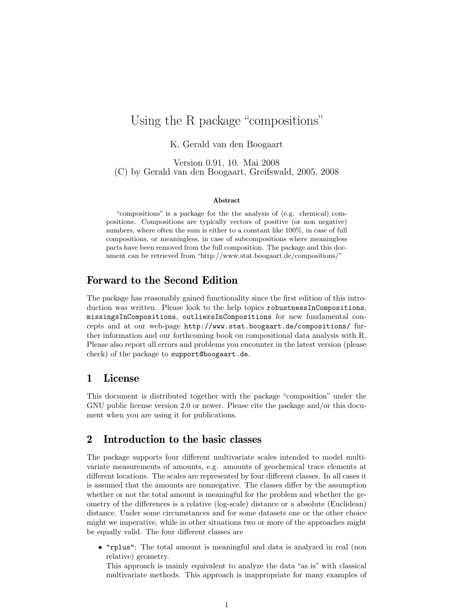# Using the R package "compositions"

K. Gerald van den Boogaart

Version 0.91, 10. Mai 2008 (C) by Gerald van den Boogaart, Greifswald, 2005, 2008

#### Abstract

"compositions" is a package for the the analysis of (e.g. chemical) compositions. Compositions are typically vectors of positive (or non negative) numbers, where often the sum is either to a constant like 100%, in case of full compositions, or meaningless, in case of subcompositions where meaningless parts have been removed from the full composition. The package and this document can be retrieved from "http://www.stat.boogaart.de/compositions/"

# Forward to the Second Edition

The package has reasonably gained functionality since the first edition of this introduction was written. Please look to the help topics robustnessInCompositions, missingsInCompositions, outliersInCompositions for new fundamental concepts and at our web-page http://www.stat.boogaart.de/compositions/ further information and our forthcoming book on compositional data analysis with R. Please also report all errors and problems you encounter in the latest version (please check) of the package to support@boogaart.de.

### 1 License

This document is distributed together with the package "composition" under the GNU public license version 2.0 or newer. Please cite the package and/or this document when you are using it for publications.

# 2 Introduction to the basic classes

The package supports four different multivariate scales intended to model multivariate measurements of amounts, e.g. amounts of geochemical trace elements at different locations. The scales are represented by four different classes. In all cases it is assumed that the amounts are nonnegative. The classes differ by the assumption whether or not the total amount is meaningful for the problem and whether the geometry of the differences is a relative (log-scale) distance or a absolute (Euclidean) distance. Under some circumstances and for some datasets one or the other choice might we imperative, while in other situations two or more of the approaches might be equally valid. The four different classes are

• "rplus": The total amount is meaningful and data is analyzed in real (non relative) geometry.

This approach is mainly equivalent to analyze the data "as is" with classical multivariate methods. This approach is inappropriate for many examples of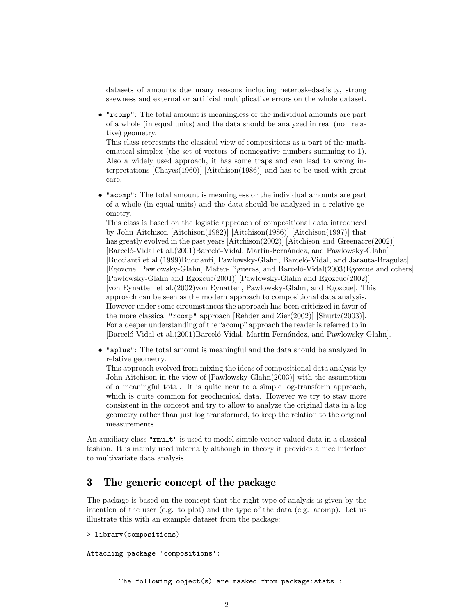datasets of amounts due many reasons including heteroskedastisity, strong skewness and external or artificial multiplicative errors on the whole dataset.

• "rcomp": The total amount is meaningless or the individual amounts are part of a whole (in equal units) and the data should be analyzed in real (non relative) geometry.

This class represents the classical view of compositions as a part of the mathematical simplex (the set of vectors of nonnegative numbers summing to 1). Also a widely used approach, it has some traps and can lead to wrong interpretations [Chayes(1960)] [Aitchison(1986)] and has to be used with great care.

• "acomp": The total amount is meaningless or the individual amounts are part of a whole (in equal units) and the data should be analyzed in a relative geometry.

This class is based on the logistic approach of compositional data introduced by John Aitchison [Aitchison(1982)] [Aitchison(1986)] [Aitchison(1997)] that has greatly evolved in the past years [Aitchison(2002)] [Aitchison and Greenacre(2002)] [Barceló-Vidal et al.(2001)Barceló-Vidal, Martín-Fernández, and Pawlowsky-Glahn] [Buccianti et al. (1999)Buccianti, Pawlowsky-Glahn, Barceló-Vidal, and Jarauta-Bragulat] [Egozcue, Pawlowsky-Glahn, Mateu-Figueras, and Barceló-Vidal(2003)Egozcue and others] [Pawlowsky-Glahn and Egozcue(2001)] [Pawlowsky-Glahn and Egozcue(2002)] [von Eynatten et al.(2002)von Eynatten, Pawlowsky-Glahn, and Egozcue]. This approach can be seen as the modern approach to compositional data analysis. However under some circumstances the approach has been criticized in favor of the more classical "rcomp" approach [Rehder and Zier(2002)] [Shurtz(2003)]. For a deeper understanding of the "acomp" approach the reader is referred to in [Barceló-Vidal et al.(2001)Barceló-Vidal, Martín-Fernández, and Pawlowsky-Glahn].

• "aplus": The total amount is meaningful and the data should be analyzed in relative geometry.

This approach evolved from mixing the ideas of compositional data analysis by John Aitchison in the view of [Pawlowsky-Glahn(2003)] with the assumption of a meaningful total. It is quite near to a simple log-transform approach, which is quite common for geochemical data. However we try to stay more consistent in the concept and try to allow to analyze the original data in a log geometry rather than just log transformed, to keep the relation to the original measurements.

An auxiliary class "rmult" is used to model simple vector valued data in a classical fashion. It is mainly used internally although in theory it provides a nice interface to multivariate data analysis.

# 3 The generic concept of the package

The package is based on the concept that the right type of analysis is given by the intention of the user (e.g. to plot) and the type of the data (e.g. acomp). Let us illustrate this with an example dataset from the package:

```
> library(compositions)
```
Attaching package 'compositions':

The following object(s) are masked from package:stats :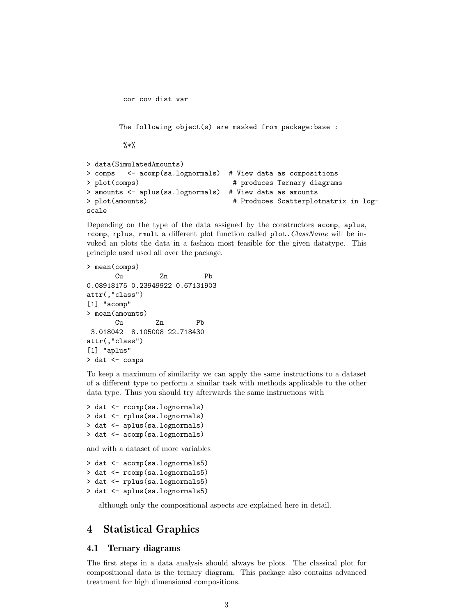```
cor cov dist var
       The following object(s) are masked from package:base :
        \frac{9}{6}*%
> data(SimulatedAmounts)
> comps <- acomp(sa.lognormals) # View data as compositions
> plot(comps) \qquad # produces Ternary diagrams
> amounts <- aplus(sa.lognormals) # View data as amounts
> plot(amounts) # Produces Scatterplotmatrix in log-
scale
```
Depending on the type of the data assigned by the constructors acomp, aplus, rcomp, rplus, rmult a different plot function called plot. ClassName will be invoked an plots the data in a fashion most feasible for the given datatype. This principle used used all over the package.

```
> mean(comps)
      Cu Zn Pb
0.08918175 0.23949922 0.67131903
attr(,"class")
[1] "acomp"
> mean(amounts)
      Cu Zn Pb
 3.018042 8.105008 22.718430
attr(,"class")
[1] "aplus"
> dat <- comps
```
To keep a maximum of similarity we can apply the same instructions to a dataset of a different type to perform a similar task with methods applicable to the other data type. Thus you should try afterwards the same instructions with

```
> dat <- rcomp(sa.lognormals)
> dat <- rplus(sa.lognormals)
> dat <- aplus(sa.lognormals)
> dat <- acomp(sa.lognormals)
```
and with a dataset of more variables

```
> dat <- acomp(sa.lognormals5)
> dat <- rcomp(sa.lognormals5)
> dat <- rplus(sa.lognormals5)
> dat <- aplus(sa.lognormals5)
```
although only the compositional aspects are explained here in detail.

# 4 Statistical Graphics

#### 4.1 Ternary diagrams

The first steps in a data analysis should always be plots. The classical plot for compositional data is the ternary diagram. This package also contains advanced treatment for high dimensional compositions.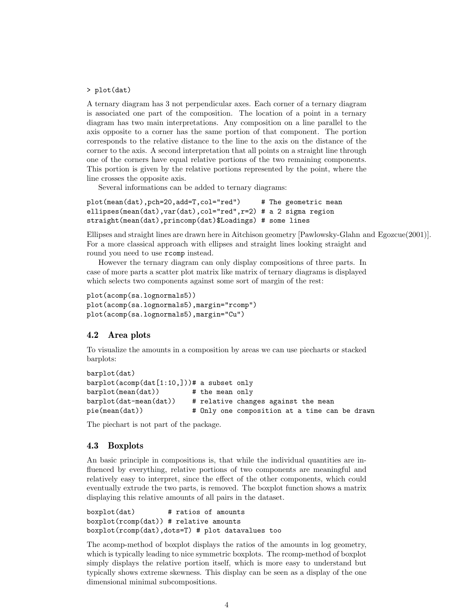#### > plot(dat)

A ternary diagram has 3 not perpendicular axes. Each corner of a ternary diagram is associated one part of the composition. The location of a point in a ternary diagram has two main interpretations. Any composition on a line parallel to the axis opposite to a corner has the same portion of that component. The portion corresponds to the relative distance to the line to the axis on the distance of the corner to the axis. A second interpretation that all points on a straight line through one of the corners have equal relative portions of the two remaining components. This portion is given by the relative portions represented by the point, where the line crosses the opposite axis.

Several informations can be added to ternary diagrams:

```
plot(mean(dat),pch=20,add=T,col="red") # The geometric mean
ellipses(mean(dat),var(dat),col="red",r=2) # a 2 sigma region
straight(mean(dat),princomp(dat)$Loadings) # some lines
```
Ellipses and straight lines are drawn here in Aitchison geometry [Pawlowsky-Glahn and Egozcue(2001)]. For a more classical approach with ellipses and straight lines looking straight and round you need to use rcomp instead.

However the ternary diagram can only display compositions of three parts. In case of more parts a scatter plot matrix like matrix of ternary diagrams is displayed which selects two components against some sort of margin of the rest:

```
plot(acomp(sa.lognormals5))
plot(acomp(sa.lognormals5),margin="rcomp")
plot(acomp(sa.lognormals5),margin="Cu")
```
#### 4.2 Area plots

To visualize the amounts in a composition by areas we can use piecharts or stacked barplots:

```
barplot(dat)
barplot(acomp(dat[1:10,]))# a subset only
barplot(mean(dat)) # the mean only
barplot(dat-mean(dat)) # relative changes against the mean
pie(mean(dat)) # Only one composition at a time can be drawn
```
The piechart is not part of the package.

#### 4.3 Boxplots

An basic principle in compositions is, that while the individual quantities are influenced by everything, relative portions of two components are meaningful and relatively easy to interpret, since the effect of the other components, which could eventually extrude the two parts, is removed. The boxplot function shows a matrix displaying this relative amounts of all pairs in the dataset.

```
boxplot(dat) # ratios of amounts
boxplot(rcomp(dat)) # relative amounts
boxplot(rcomp(dat),dots=T) # plot datavalues too
```
The acomp-method of boxplot displays the ratios of the amounts in log geometry, which is typically leading to nice symmetric boxplots. The rcomp-method of boxplot simply displays the relative portion itself, which is more easy to understand but typically shows extreme skewness. This display can be seen as a display of the one dimensional minimal subcompositions.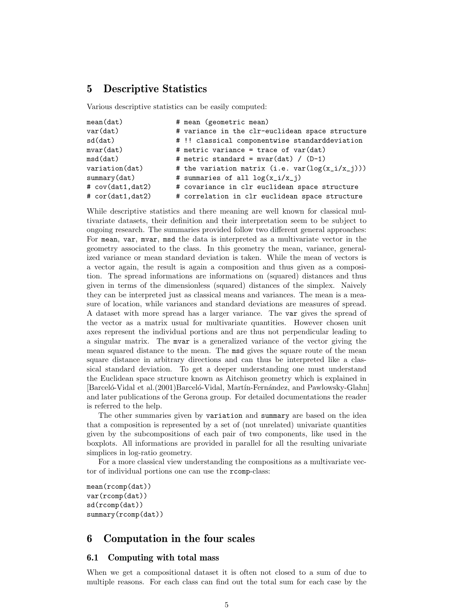### 5 Descriptive Statistics

Various descriptive statistics can be easily computed:

| mean(data)         | # mean (geometric mean)                             |
|--------------------|-----------------------------------------------------|
| var(data)          | # variance in the clr-euclidean space structure     |
| sd(data)           | # !! classical componentwise standarddeviation      |
| mvar(data)         | # metric variance = trace of var(dat)               |
| msd(data)          | # metric standard = mvar(dat) / $(D-1)$             |
| variation(dat)     | # the variation matrix (i.e. $var(log(x_i/x_i)))$ ) |
| summary(dat)       | # summaries of all $log(x_i/x_j)$                   |
| # cov(dat1,dat2)   | # covariance in clr euclidean space structure       |
| # cor(data1, dat2) | # correlation in clr euclidean space structure      |

While descriptive statistics and there meaning are well known for classical multivariate datasets, their definition and their interpretation seem to be subject to ongoing research. The summaries provided follow two different general approaches: For mean, var, mvar, msd the data is interpreted as a multivariate vector in the geometry associated to the class. In this geometry the mean, variance, generalized variance or mean standard deviation is taken. While the mean of vectors is a vector again, the result is again a composition and thus given as a composition. The spread informations are informations on (squared) distances and thus given in terms of the dimensionless (squared) distances of the simplex. Naively they can be interpreted just as classical means and variances. The mean is a measure of location, while variances and standard deviations are measures of spread. A dataset with more spread has a larger variance. The var gives the spread of the vector as a matrix usual for multivariate quantities. However chosen unit axes represent the individual portions and are thus not perpendicular leading to a singular matrix. The mvar is a generalized variance of the vector giving the mean squared distance to the mean. The msd gives the square route of the mean square distance in arbitrary directions and can thus be interpreted like a classical standard deviation. To get a deeper understanding one must understand the Euclidean space structure known as Aitchison geometry which is explained in [Barceló-Vidal et al.(2001)Barceló-Vidal, Martín-Fernández, and Pawlowsky-Glahn] and later publications of the Gerona group. For detailed documentations the reader is referred to the help.

The other summaries given by variation and summary are based on the idea that a composition is represented by a set of (not unrelated) univariate quantities given by the subcompositions of each pair of two components, like used in the boxplots. All informations are provided in parallel for all the resulting univariate simplices in log-ratio geometry.

For a more classical view understanding the compositions as a multivariate vector of individual portions one can use the rcomp-class:

```
mean(rcomp(dat))
var(rcomp(dat))
sd(rcomp(dat))
summary(rcomp(dat))
```
### 6 Computation in the four scales

#### 6.1 Computing with total mass

When we get a compositional dataset it is often not closed to a sum of due to multiple reasons. For each class can find out the total sum for each case by the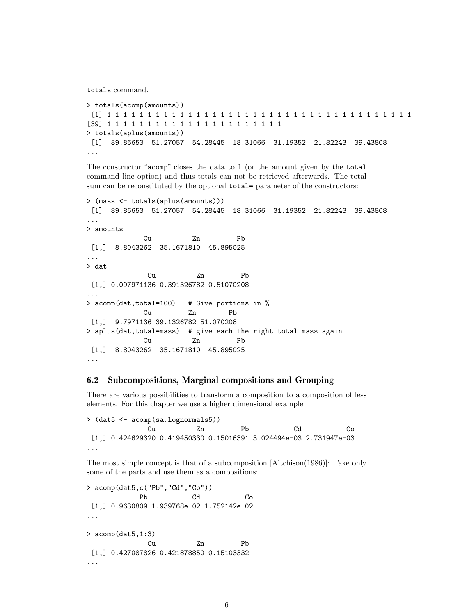totals command.

```
> totals(acomp(amounts))
 [1] 1 1 1 1 1 1 1 1 1 1 1 1 1 1 1 1 1 1 1 1 1 1 1 1 1 1 1 1 1 1 1 1 1 1 1 1 1 1
[39] 1 1 1 1 1 1 1 1 1 1 1 1 1 1 1 1 1 1 1 1 1 1
> totals(aplus(amounts))
 [1] 89.86653 51.27057 54.28445 18.31066 31.19352 21.82243 39.43808
...
```
The constructor "acomp" closes the data to 1 (or the amount given by the total command line option) and thus totals can not be retrieved afterwards. The total sum can be reconstituted by the optional total= parameter of the constructors:

```
> (mass <- totals(aplus(amounts)))
[1] 89.86653 51.27057 54.28445 18.31066 31.19352 21.82243 39.43808
...
> amounts
            Cu Zn Pb
 [1,] 8.8043262 35.1671810 45.895025
...
> dat
             Cu Zn Pb
 [1,] 0.097971136 0.391326782 0.51070208
...
> acomp(dat,total=100) # Give portions in %
            Cu Zn Pb
 [1,] 9.7971136 39.1326782 51.070208
> aplus(dat,total=mass) # give each the right total mass again
            Cu Zn Pb
 [1,] 8.8043262 35.1671810 45.895025
...
```
#### 6.2 Subcompositions, Marginal compositions and Grouping

There are various possibilities to transform a composition to a composition of less elements. For this chapter we use a higher dimensional example

> (dat5 <- acomp(sa.lognormals5)) Cu Zn Pb Cd Co [1,] 0.424629320 0.419450330 0.15016391 3.024494e-03 2.731947e-03 ...

The most simple concept is that of a subcomposition [Aitchison(1986)]: Take only some of the parts and use them as a compositions:

```
> acomp(dat5,c("Pb","Cd","Co"))
           Pb Cd Co
 [1,] 0.9630809 1.939768e-02 1.752142e-02
...
> acomp(dat5,1:3)
            Cu Zn Pb
 [1,] 0.427087826 0.421878850 0.15103332
...
```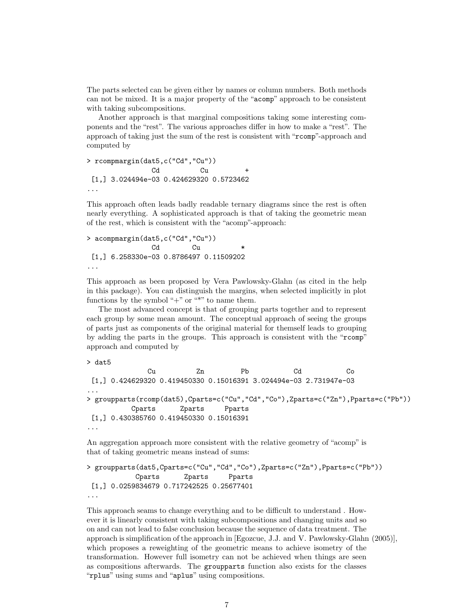The parts selected can be given either by names or column numbers. Both methods can not be mixed. It is a major property of the "acomp" approach to be consistent with taking subcompositions.

Another approach is that marginal compositions taking some interesting components and the "rest". The various approaches differ in how to make a "rest". The approach of taking just the sum of the rest is consistent with "rcomp"-approach and computed by

```
> rcompmargin(dat5,c("Cd","Cu"))
              Cd Cu +
[1,] 3.024494e-03 0.424629320 0.5723462
...
```
This approach often leads badly readable ternary diagrams since the rest is often nearly everything. A sophisticated approach is that of taking the geometric mean of the rest, which is consistent with the "acomp"-approach:

```
> acompmargin(dat5,c("Cd","Cu"))
              Cd Cu \star[1,] 6.258330e-03 0.8786497 0.11509202
...
```
This approach as been proposed by Vera Pawlowsky-Glahn (as cited in the help in this package). You can distinguish the margins, when selected implicitly in plot functions by the symbol " $+$ " or "\*" to name them.

The most advanced concept is that of grouping parts together and to represent each group by some mean amount. The conceptual approach of seeing the groups of parts just as components of the original material for themself leads to grouping by adding the parts in the groups. This approach is consistent with the "rcomp" approach and computed by

```
> dat5
```

```
Cu Zn Pb Cd Co
[1,] 0.424629320 0.419450330 0.15016391 3.024494e-03 2.731947e-03
...
> groupparts(rcomp(dat5),Cparts=c("Cu","Cd","Co"),Zparts=c("Zn"),Pparts=c("Pb"))
         Cparts Zparts Pparts
[1,] 0.430385760 0.419450330 0.15016391
...
```
An aggregation approach more consistent with the relative geometry of "acomp" is that of taking geometric means instead of sums:

```
> groupparts(dat5,Cparts=c("Cu","Cd","Co"),Zparts=c("Zn"),Pparts=c("Pb"))
           Cparts Zparts Pparts
 [1,] 0.0259834679 0.717242525 0.25677401
...
```
This approach seams to change everything and to be difficult to understand . However it is linearly consistent with taking subcompositions and changing units and so on and can not lead to false conclusion because the sequence of data treatment. The approach is simplification of the approach in [Egozcue, J.J. and V. Pawlowsky-Glahn (2005)], which proposes a reweighting of the geometric means to achieve isometry of the transformation. However full isometry can not be achieved when things are seen as compositions afterwards. The groupparts function also exists for the classes "rplus" using sums and "aplus" using compositions.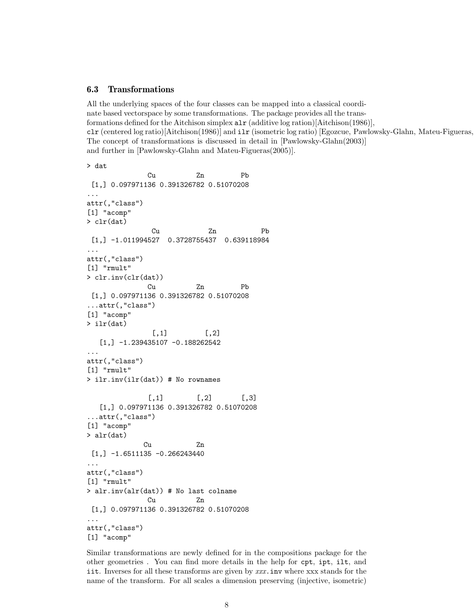#### 6.3 Transformations

All the underlying spaces of the four classes can be mapped into a classical coordinate based vectorspace by some transformations. The package provides all the transformations defined for the Aitchison simplex  $\text{alr}$  (additive log ration)[Aitchison(1986)],  $clr$  (centered log ratio)[Aitchison(1986)] and  $ilr$  (isometric log ratio) [Egozcue, Pawlowsky-Glahn, Mateu-Figueras, The concept of transformations is discussed in detail in [Pawlowsky-Glahn(2003)] and further in [Pawlowsky-Glahn and Mateu-Figueras(2005)].

```
> dat
              Cu Zn Pb
 [1,] 0.097971136 0.391326782 0.51070208
...
attr(,"class")
[1] "acomp"
> clr(dat)
              Cu Zn Pb
 [1,] -1.011994527 0.3728755437 0.639118984
...
attr(,"class")
[1] "rmult"
> clr.inv(clr(dat))
              Cu Zn Pb
 [1,] 0.097971136 0.391326782 0.51070208
...attr(,"class")
[1] "acomp"
> ilr(dat)
              [,1] [,2][1,] -1.239435107 -0.188262542...
attr(,"class")
[1] "rmult"
> ilr.inv(ilr(dat)) # No rownames
             [,1] [,2] [,3]
   [1,] 0.097971136 0.391326782 0.51070208
...attr(,"class")
[1] "acomp"
> alr(dat)
            Cu Zn
 [1,] -1.6511135 -0.266243440...
attr(,"class")
[1] "rmult"
> alr.inv(alr(dat)) # No last colname
             Cu Zn
 [1,] 0.097971136 0.391326782 0.51070208
...
attr(,"class")
[1] "acomp"
```
Similar transformations are newly defined for in the compositions package for the other geometries . You can find more details in the help for cpt, ipt, ilt, and iit. Inverses for all these transforms are given by xxx.inv where xxx stands for the name of the transform. For all scales a dimension preserving (injective, isometric)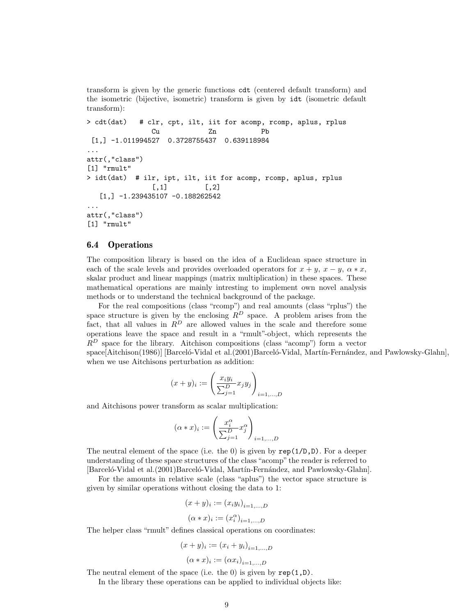transform is given by the generic functions cdt (centered default transform) and the isometric (bijective, isometric) transform is given by idt (isometric default transform):

```
> cdt(dat) # clr, cpt, ilt, iit for acomp, rcomp, aplus, rplus
               Cu Zn Pb
 [1,] -1.011994527 0.3728755437 0.639118984
...
attr(,"class")
[1] "rmult"
> idt(dat) # ilr, ipt, ilt, iit for acomp, rcomp, aplus, rplus
              [,1] [,2][1,] -1.239435107 -0.188262542
...
attr(,"class")
[1] "rmult"
```
#### 6.4 Operations

The composition library is based on the idea of a Euclidean space structure in each of the scale levels and provides overloaded operators for  $x + y$ ,  $x - y$ ,  $\alpha * x$ , skalar product and linear mappings (matrix multiplication) in these spaces. These mathematical operations are mainly intresting to implement own novel analysis methods or to understand the technical background of the package.

For the real compositions (class "rcomp") and real amounts (class "rplus") the space structure is given by the enclosing  $R^D$  space. A problem arises from the fact, that all values in  $R^D$  are allowed values in the scale and therefore some operations leave the space and result in a "rmult"-object, which represents the  $R^D$  space for the library. Aitchison compositions (class "acomp") form a vector space[Aitchison(1986)] [Barceló-Vidal et al.(2001)Barceló-Vidal, Martín-Fernández, and Pawlowsky-Glahn], when we use Aitchisons perturbation as addition:

$$
(x + y)_i := \left(\frac{x_i y_i}{\sum_{j=1}^{D} x_j y_j}\right)_{i=1,...,D}
$$

and Aitchisons power transform as scalar multiplication:

$$
(\alpha * x)_i := \left(\frac{x_i^{\alpha}}{\sum_{j=1}^D} x_j^{\alpha}\right)_{i=1,...,D}
$$

The neutral element of the space (i.e. the 0) is given by  $\text{rep}(1/D,D)$ . For a deeper understanding of these space structures of the class "acomp" the reader is referred to [Barceló-Vidal et al.(2001)Barceló-Vidal, Martín-Fernández, and Pawlowsky-Glahn].

For the amounts in relative scale (class "aplus") the vector space structure is given by similar operations without closing the data to 1:

$$
(x + y)_i := (x_i y_i)_{i=1,...,D}
$$

$$
(\alpha * x)_i := (x_i^{\alpha})_{i=1,...,D}
$$

The helper class "rmult" defines classical operations on coordinates:

$$
(x + y)_i := (x_i + y_i)_{i=1,...,D}
$$

 $(\alpha * x)_i := (\alpha x_i)_{i=1,...,D}$ 

The neutral element of the space (i.e. the 0) is given by  $rep(1,D)$ .

In the library these operations can be applied to individual objects like: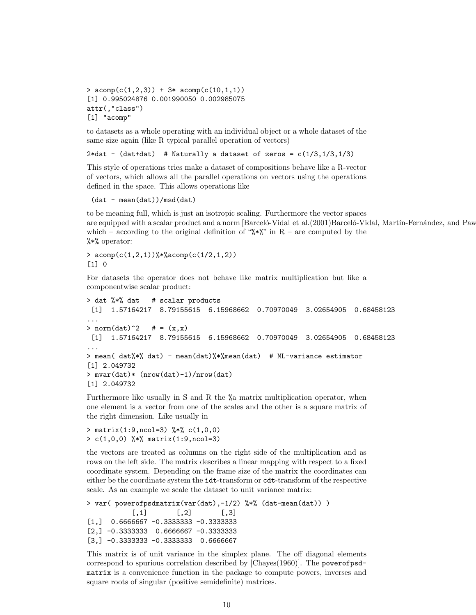```
> \text{acomp}(c(1,2,3)) + 3* \text{acomp}(c(10,1,1))[1] 0.995024876 0.001990050 0.002985075
attr(,"class")
[1] "acomp"
```
to datasets as a whole operating with an individual object or a whole dataset of the same size again (like R typical parallel operation of vectors)

 $2*dat - (dat+dat)$  # Naturally a dataset of zeros =  $c(1/3,1/3,1/3)$ 

This style of operations tries make a dataset of compositions behave like a R-vector of vectors, which allows all the parallel operations on vectors using the operations defined in the space. This allows operations like

```
(data - mean(data)) / msd(data)
```
to be meaning full, which is just an isotropic scaling. Furthermore the vector spaces are equipped with a scalar product and a norm [Barceló-Vidal et al.(2001)Barceló-Vidal, Martín-Fernández, and Paw which – according to the original definition of " $\mathscr{K}^*$ " in R – are computed by the %\*% operator:

>  $a\text{comp}(c(1,2,1))$ %\*% $a\text{comp}(c(1/2,1,2))$ [1] 0

For datasets the operator does not behave like matrix multiplication but like a componentwise scalar product:

```
> dat %*% dat # scalar products
 [1] 1.57164217 8.79155615 6.15968662 0.70970049 3.02654905 0.68458123
...
> norm(dat)<sup>2</sup> # = (x,x)
 [1] 1.57164217 8.79155615 6.15968662 0.70970049 3.02654905 0.68458123
...
> mean( dat%*% dat) - mean(dat)%*%mean(dat) # ML-variance estimator
[1] 2.049732
> mvar(dat)* (nrow(dat)-1)/nrow(dat)
[1] 2.049732
```
Furthermore like usually in S and R the %a matrix multiplication operator, when one element is a vector from one of the scales and the other is a square matrix of the right dimension. Like usually in

```
> matrix(1:9,ncol=3) \frac{1}{2} (1,0,0)
> c(1,0,0) %*% matrix(1:9,ncol=3)
```
the vectors are treated as columns on the right side of the multiplication and as rows on the left side. The matrix describes a linear mapping with respect to a fixed coordinate system. Depending on the frame size of the matrix the coordinates can either be the coordinate system the idt-transform or cdt-transform of the respective scale. As an example we scale the dataset to unit variance matrix:

```
> var( powerofpsdmatrix(var(dat),-1/2) %*% (dat-mean(dat)) )
           [0,1] [0,2] [0,3][1,] 0.6666667 -0.3333333 -0.33333333
[2,] -0.3333333 0.6666667 -0.33333333
[3,] -0.3333333 -0.33333333 0.6666667
```
This matrix is of unit variance in the simplex plane. The off diagonal elements correspond to spurious correlation described by [Chayes(1960)]. The powerofpsdmatrix is a convenience function in the package to compute powers, inverses and square roots of singular (positive semidefinite) matrices.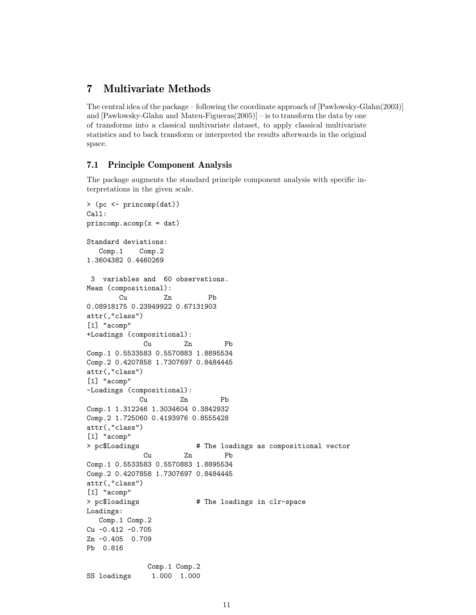# 7 Multivariate Methods

The central idea of the package – following the coordinate approach of [Pawlowsky-Glahn(2003)] and [Pawlowsky-Glahn and Mateu-Figueras(2005)] – is to transform the data by one of transforms into a classical multivariate dataset, to apply classical multivariate statistics and to back transform or interpreted the results afterwards in the original space.

### 7.1 Principle Component Analysis

The package augments the standard principle component analysis with specific interpretations in the given scale.

```
> (pc <- princomp(dat))
Call:
princomp.acomp(x = dat)Standard deviations:
  Comp.1 Comp.2
1.3604382 0.4460269
3 variables and 60 observations.
Mean (compositional):
        Cu Zn Pb
0.08918175 0.23949922 0.67131903
attr(,"class")
[1] "acomp"
+Loadings (compositional):
             Cu Zn Pb
Comp.1 0.5533583 0.5570883 1.8895534
Comp.2 0.4207858 1.7307697 0.8484445
attr(,"class")
[1] "acomp"
-Loadings (compositional):
            Cu Zn Pb
Comp.1 1.312246 1.3034604 0.3842932
Comp.2 1.725060 0.4193976 0.8555428
attr(,"class")
[1] "acomp"
> pc$Loadings \longrightarrow # The loadings as compositional vector
             Cu Zn Pb
Comp.1 0.5533583 0.5570883 1.8895534
Comp.2 0.4207858 1.7307697 0.8484445
attr(,"class")
[1] "acomp"
> pc$loadings \longrightarrow # The loadings in clr-space
Loadings:
  Comp.1 Comp.2
Cu -0.412 -0.705
Zn -0.405 0.709
Pb 0.816
              Comp.1 Comp.2
SS loadings 1.000 1.000
```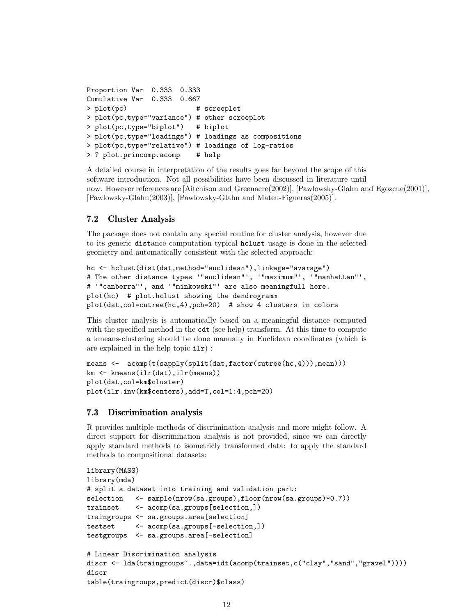```
Proportion Var 0.333 0.333
Cumulative Var 0.333 0.667
> plot(pc) # screeplot
> plot(pc,type="variance") # other screeplot
> plot(pc,type="biplot") # biplot
> plot(pc,type="loadings") # loadings as compositions
> plot(pc,type="relative") # loadings of log-ratios
> ? plot.princomp.acomp # help
```
A detailed course in interpretation of the results goes far beyond the scope of this software introduction. Not all possibilities have been discussed in literature until now. However references are [Aitchison and Greenacre(2002)], [Pawlowsky-Glahn and Egozcue(2001)], [Pawlowsky-Glahn(2003)], [Pawlowsky-Glahn and Mateu-Figueras(2005)].

### 7.2 Cluster Analysis

The package does not contain any special routine for cluster analysis, however due to its generic distance computation typical hclust usage is done in the selected geometry and automatically consistent with the selected approach:

```
hc <- hclust(dist(dat,method="euclidean"),linkage="avarage")
# The other distance types '"euclidean"', '"maximum"', '"manhattan"',
# '"canberra"', and '"minkowski"' are also meaningfull here.
plot(hc) # plot.hclust showing the dendrogramm
plot(dat,col=cutree(hc,4),pch=20) # show 4 clusters in colors
```
This cluster analysis is automatically based on a meaningful distance computed with the specified method in the cdt (see help) transform. At this time to compute a kmeans-clustering should be done manually in Euclidean coordinates (which is are explained in the help topic ilr) :

```
means <- acomp(t(sapply(split(data, factor(currence(hc,4)))), mean)))
km <- kmeans(ilr(dat),ilr(means))
plot(dat,col=km$cluster)
plot(ilr.inv(km$centers),add=T,col=1:4,pch=20)
```
### 7.3 Discrimination analysis

R provides multiple methods of discrimination analysis and more might follow. A direct support for discrimination analysis is not provided, since we can directly apply standard methods to isometricly transformed data: to apply the standard methods to compositional datasets:

```
library(MASS)
library(mda)
# split a dataset into training and validation part:
selection <- sample(nrow(sa.groups),floor(nrow(sa.groups)*0.7))
trainset <- acomp(sa.groups[selection,])
traingroups <- sa.groups.area[selection]
testset <- acomp(sa.groups[-selection,])
testgroups <- sa.groups.area[-selection]
# Linear Discrimination analysis
discr <- lda(traingroups<sup>~</sup>.,data=idt(acomp(trainset,c("clay","sand","gravel"))))
discr
table(traingroups,predict(discr)$class)
```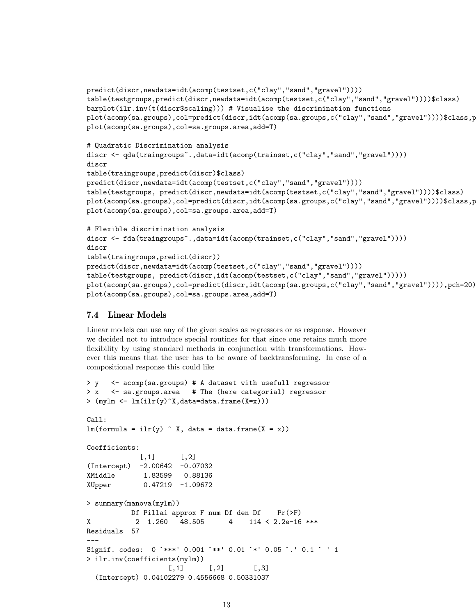```
predict(discr,newdata=idt(acomp(testset,c("clay","sand","gravel"))))
table(testgroups,predict(discr,newdata=idt(acomp(testset,c("clay","sand","gravel"))))$class)
barplot(ilr.inv(t(discr$scaling))) # Visualise the discrimination functions
plot(acomp(sa.groups),col=predict(discr,idt(acomp(sa.groups,c("clay","sand","gravel"))))$class,p
plot(acomp(sa.groups),col=sa.groups.area,add=T)
# Quadratic Discrimination analysis
discr <- qda(traingroups<sup>-</sup>.,data=idt(acomp(trainset,c("clay","sand","gravel"))))
discr
table(traingroups,predict(discr)$class)
predict(discr,newdata=idt(acomp(testset,c("clay","sand","gravel"))))
table(testgroups, predict(discr,newdata=idt(acomp(testset,c("clay","sand","gravel"))))$class)
plot(acomp(sa.groups),col=predict(discr,idt(acomp(sa.groups,c("clay","sand","gravel"))))$class,p
plot(acomp(sa.groups),col=sa.groups.area,add=T)
# Flexible discrimination analysis
discr <- fda(traingroups<sup>~</sup>.,data=idt(acomp(trainset,c("clay","sand","gravel"))))
discr
table(traingroups,predict(discr))
predict(discr,newdata=idt(acomp(testset,c("clay","sand","gravel"))))
table(testgroups, predict(discr,idt(acomp(testset,c("clay","sand","gravel")))))
plot(acomp(sa.groups),col=predict(discr,idt(acomp(sa.groups,c("clay","sand","gravel")))),pch=20)
plot(acomp(sa.groups),col=sa.groups.area,add=T)
```
### 7.4 Linear Models

Linear models can use any of the given scales as regressors or as response. However we decided not to introduce special routines for that since one retains much more flexibility by using standard methods in conjunction with transformations. However this means that the user has to be aware of backtransforming. In case of a compositional response this could like

```
> y <- acomp(sa.groups) # A dataset with usefull regressor
> x <- sa.groups.area # The (here categorial) regressor
> (mylm <- lm(ilr(y)~X,data=data.frame(X=x)))
Call:
lm(formula = ilr(y) x, data = data-frame(X = x))Coefficients:
            [,1] [,2](Intercept) -2.00642 -0.07032
XMiddle 1.83599 0.88136
XUpper 0.47219 -1.09672
> summary(manova(mylm))
          Df Pillai approx F num Df den Df Pr(\ge F)X 2 1.260 48.505 4 114 < 2.2e-16 ***
Residuals 57
---
Signif. codes: 0 `***' 0.001 `**' 0.01 `*' 0.05 `.' 0.1 ` ' 1
> ilr.inv(coefficients(mylm))
                  [,1] [,2] [,3]
  (Intercept) 0.04102279 0.4556668 0.50331037
```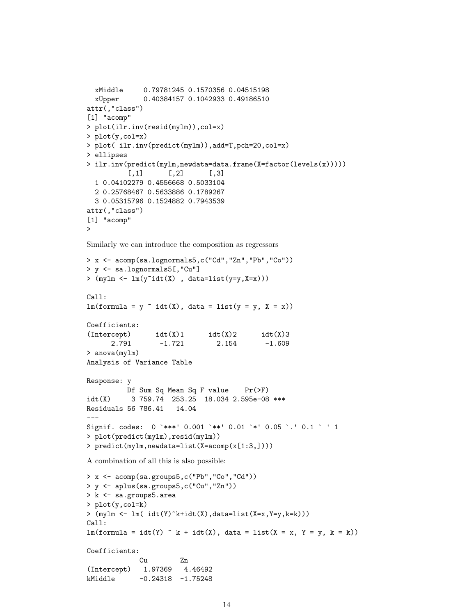```
xMiddle 0.79781245 0.1570356 0.04515198
 xUpper 0.40384157 0.1042933 0.49186510
attr(,"class")
[1] "acomp"
> plot(ilr.inv(resid(mylm)),col=x)
> plot(y,col=x)
> plot( ilr.inv(predict(mylm)),add=T,pch=20,col=x)
> ellipses
> ilr.inv(predict(mylm,newdata=data.frame(X=factor(levels(x)))))
          [0,1] [0,2] [0,3]1 0.04102279 0.4556668 0.5033104
 2 0.25768467 0.5633886 0.1789267
 3 0.05315796 0.1524882 0.7943539
attr(,"class")
[1] "acomp"
>
```
Similarly we can introduce the composition as regressors

```
> x <- acomp(sa.lognormals5,c("Cd","Zn","Pb","Co"))
> y <- sa.lognormals5[,"Cu"]
> (\text{mylm} < -\text{lm}(y^{\text{ndt}}(X), \text{data=list}(y=y,X=x)))Call:
lm(formula = y \text{ "} idt(X), data = list(y = y, X = x))Coefficients:
(intexcept) idt(X)1 idt(X)2 idt(X)32.791 -1.721 2.154 -1.609
> anova(mylm)
Analysis of Variance Table
Response: y
         Df Sum Sq Mean Sq F value Pr(>F)
idt(X) 3 759.74 253.25 18.034 2.595e-08 ***
Residuals 56 786.41 14.04
---
Signif. codes: 0 `***' 0.001 `**' 0.01 `*' 0.05 `.' 0.1 ` ' 1
> plot(predict(mylm),resid(mylm))
> predict(mylm,newdata=list(X=acomp(x[1:3,])))
A combination of all this is also possible:
> x <- acomp(sa.groups5,c("Pb","Co","Cd"))
> y <- aplus(sa.groups5,c("Cu","Zn"))
> k <- sa.groups5.area
> plot(y,col=k)
> (mylm <- lm( idt(Y)~k+idt(X),data=list(X=x,Y=y,k=k)))
Call:
lm(formula = idt(Y) "k + idt(X), data = list(X = x, Y = y, k = k))Coefficients:
            Cu Zn
(Intercept) 1.97369 4.46492
kMiddle -0.24318 -1.75248
```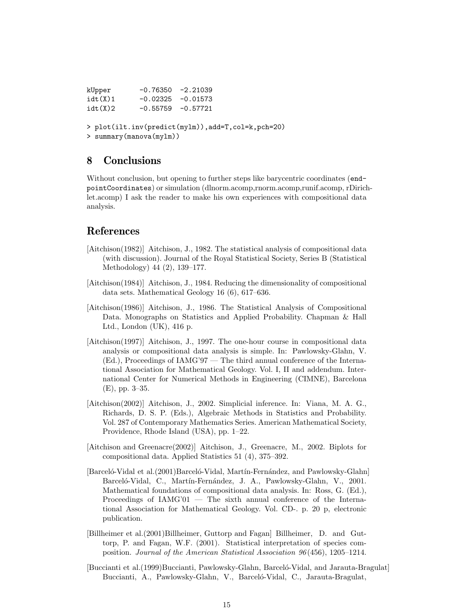| kUpper                                                                            | $-0.76350 -2.21039$  |  |  |  |  |
|-----------------------------------------------------------------------------------|----------------------|--|--|--|--|
| idt(X)1                                                                           | $-0.02325 - 0.01573$ |  |  |  |  |
| idt(X)2                                                                           | $-0.55759 - 0.57721$ |  |  |  |  |
| > plot(ilt.inv(predict(mylm)), add=T, col=k, pch=20)<br>> summary (manova (mylm)) |                      |  |  |  |  |

# 8 Conclusions

Without conclusion, but opening to further steps like barycentric coordinates (endpointCoordinates) or simulation (dlnorm.acomp,rnorm.acomp,runif.acomp, rDirichlet.acomp) I ask the reader to make his own experiences with compositional data analysis.

# References

- [Aitchison(1982)] Aitchison, J., 1982. The statistical analysis of compositional data (with discussion). Journal of the Royal Statistical Society, Series B (Statistical Methodology) 44 (2), 139–177.
- [Aitchison(1984)] Aitchison, J., 1984. Reducing the dimensionality of compositional data sets. Mathematical Geology 16 (6), 617–636.
- [Aitchison(1986)] Aitchison, J., 1986. The Statistical Analysis of Compositional Data. Monographs on Statistics and Applied Probability. Chapman & Hall Ltd., London (UK), 416 p.
- [Aitchison(1997)] Aitchison, J., 1997. The one-hour course in compositional data analysis or compositional data analysis is simple. In: Pawlowsky-Glahn, V. (Ed.), Proceedings of IAMG'97 — The third annual conference of the International Association for Mathematical Geology. Vol. I, II and addendum. International Center for Numerical Methods in Engineering (CIMNE), Barcelona (E), pp. 3–35.
- [Aitchison(2002)] Aitchison, J., 2002. Simplicial inference. In: Viana, M. A. G., Richards, D. S. P. (Eds.), Algebraic Methods in Statistics and Probability. Vol. 287 of Contemporary Mathematics Series. American Mathematical Society, Providence, Rhode Island (USA), pp. 1–22.
- [Aitchison and Greenacre(2002)] Aitchison, J., Greenacre, M., 2002. Biplots for compositional data. Applied Statistics 51 (4), 375–392.
- [Barceló-Vidal et al.(2001)Barceló-Vidal, Martín-Fernández, and Pawlowsky-Glahn] Barceló-Vidal, C., Martín-Fernández, J. A., Pawlowsky-Glahn, V., 2001. Mathematical foundations of compositional data analysis. In: Ross, G. (Ed.), Proceedings of IAMG'01 — The sixth annual conference of the International Association for Mathematical Geology. Vol. CD-. p. 20 p, electronic publication.
- [Billheimer et al.(2001)Billheimer, Guttorp and Fagan] Billheimer, D. and Guttorp, P. and Fagan, W.F. (2001). Statistical interpretation of species composition. Journal of the American Statistical Association 96 (456), 1205–1214.
- [Buccianti et al.(1999)Buccianti, Pawlowsky-Glahn, Barceló-Vidal, and Jarauta-Bragulat] Buccianti, A., Pawlowsky-Glahn, V., Barceló-Vidal, C., Jarauta-Bragulat,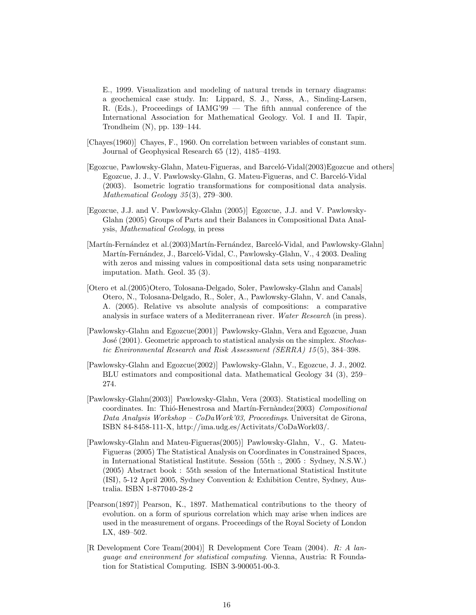E., 1999. Visualization and modeling of natural trends in ternary diagrams: a geochemical case study. In: Lippard, S. J., Næss, A., Sinding-Larsen, R. (Eds.), Proceedings of IAMG'99 — The fifth annual conference of the International Association for Mathematical Geology. Vol. I and II. Tapir, Trondheim (N), pp. 139–144.

- [Chayes(1960)] Chayes, F., 1960. On correlation between variables of constant sum. Journal of Geophysical Research 65 (12), 4185–4193.
- [Egozcue, Pawlowsky-Glahn, Mateu-Figueras, and Barceló-Vidal(2003)Egozcue and others] Egozcue, J. J., V. Pawlowsky-Glahn, G. Mateu-Figueras, and C. Barceló-Vidal (2003). Isometric logratio transformations for compositional data analysis. Mathematical Geology 35 (3), 279–300.
- [Egozcue, J.J. and V. Pawlowsky-Glahn (2005)] Egozcue, J.J. and V. Pawlowsky-Glahn (2005) Groups of Parts and their Balances in Compositional Data Analysis, Mathematical Geology, in press
- [Martín-Fernández et al.(2003)Martín-Fernández, Barceló-Vidal, and Pawlowsky-Glahn] Martín-Fernández, J., Barceló-Vidal, C., Pawlowsky-Glahn, V., 4 2003. Dealing with zeros and missing values in compositional data sets using nonparametric imputation. Math. Geol. 35 (3).
- [Otero et al.(2005)Otero, Tolosana-Delgado, Soler, Pawlowsky-Glahn and Canals] Otero, N., Tolosana-Delgado, R., Soler, A., Pawlowsky-Glahn, V. and Canals, A. (2005). Relative vs absolute analysis of compositions: a comparative analysis in surface waters of a Mediterranean river. Water Research (in press).
- [Pawlowsky-Glahn and Egozcue(2001)] Pawlowsky-Glahn, Vera and Egozcue, Juan José (2001). Geometric approach to statistical analysis on the simplex. Stochastic Environmental Research and Risk Assessment (SERRA) 15 (5), 384–398.
- [Pawlowsky-Glahn and Egozcue(2002)] Pawlowsky-Glahn, V., Egozcue, J. J., 2002. BLU estimators and compositional data. Mathematical Geology 34 (3), 259– 274.
- [Pawlowsky-Glahn(2003)] Pawlowsky-Glahn, Vera (2003). Statistical modelling on coordinates. In: Thió-Henestrosa and Martín-Fernàndez(2003) Compositional Data Analysis Workshop –  $CoDa Work'03$ , Proceedings. Universitat de Girona, ISBN 84-8458-111-X, http://ima.udg.es/Activitats/CoDaWork03/.
- [Pawlowsky-Glahn and Mateu-Figueras(2005)] Pawlowsky-Glahn, V., G. Mateu-Figueras (2005) The Statistical Analysis on Coordinates in Constrained Spaces, in International Statistical Institute. Session (55th :, 2005 : Sydney, N.S.W.) (2005) Abstract book : 55th session of the International Statistical Institute (ISI), 5-12 April 2005, Sydney Convention & Exhibition Centre, Sydney, Australia. ISBN 1-877040-28-2
- [Pearson(1897)] Pearson, K., 1897. Mathematical contributions to the theory of evolution. on a form of spurious correlation which may arise when indices are used in the measurement of organs. Proceedings of the Royal Society of London LX, 489–502.
- [R Development Core Team(2004)] R Development Core Team (2004). R: A language and environment for statistical computing. Vienna, Austria: R Foundation for Statistical Computing. ISBN 3-900051-00-3.